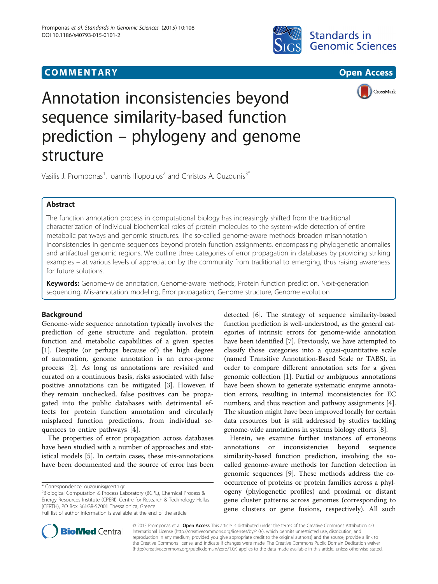# **COMMENTARY COMMENTARY COMMENTARY**







# Annotation inconsistencies beyond sequence similarity-based function prediction – phylogeny and genome structure

Vasilis J. Promponas $^1$ , Ioannis Iliopoulos $^2$  and Christos A. Ouzounis $^{\text{3}^{\ast}}$ 

# Abstract

The function annotation process in computational biology has increasingly shifted from the traditional characterization of individual biochemical roles of protein molecules to the system-wide detection of entire metabolic pathways and genomic structures. The so-called genome-aware methods broaden misannotation inconsistencies in genome sequences beyond protein function assignments, encompassing phylogenetic anomalies and artifactual genomic regions. We outline three categories of error propagation in databases by providing striking examples – at various levels of appreciation by the community from traditional to emerging, thus raising awareness for future solutions.

Keywords: Genome-wide annotation, Genome-aware methods, Protein function prediction, Next-generation sequencing, Mis-annotation modeling, Error propagation, Genome structure, Genome evolution

# Background

Genome-wide sequence annotation typically involves the prediction of gene structure and regulation, protein function and metabolic capabilities of a given species  $[1]$  $[1]$ . Despite (or perhaps because of) the high degree of automation, genome annotation is an error-prone process [[2\]](#page-4-0). As long as annotations are revisited and curated on a continuous basis, risks associated with false positive annotations can be mitigated [[3\]](#page-4-0). However, if they remain unchecked, false positives can be propagated into the public databases with detrimental effects for protein function annotation and circularly misplaced function predictions, from individual sequences to entire pathways [[4](#page-4-0)].

The properties of error propagation across databases have been studied with a number of approaches and statistical models [\[5](#page-4-0)]. In certain cases, these mis-annotations have been documented and the source of error has been

\* Correspondence: [ouzounis@certh.gr](mailto:ouzounis@certh.gr) <sup>3</sup>

<sup>3</sup>Biological Computation & Process Laboratory (BCPL), Chemical Process & Energy Resources Institute (CPERI), Centre for Research & Technology Hellas (CERTH), PO Box 361GR-57001 Thessalonica, Greece Full list of author information is available at the end of the article

Herein, we examine further instances of erroneous annotations or inconsistencies beyond sequence similarity-based function prediction, involving the socalled genome-aware methods for function detection in genomic sequences [[9\]](#page-4-0). These methods address the cooccurrence of proteins or protein families across a phylogeny (phylogenetic profiles) and proximal or distant gene cluster patterns across genomes (corresponding to gene clusters or gene fusions, respectively). All such



© 2015 Promponas et al. Open Access This article is distributed under the terms of the Creative Commons Attribution 4.0 International License [\(http://creativecommons.org/licenses/by/4.0/](http://creativecommons.org/licenses/by/4.0/)), which permits unrestricted use, distribution, and reproduction in any medium, provided you give appropriate credit to the original author(s) and the source, provide a link to the Creative Commons license, and indicate if changes were made. The Creative Commons Public Domain Dedication waiver [\(http://creativecommons.org/publicdomain/zero/1.0/](http://creativecommons.org/publicdomain/zero/1.0/)) applies to the data made available in this article, unless otherwise stated.

detected [\[6\]](#page-4-0). The strategy of sequence similarity-based function prediction is well-understood, as the general categories of intrinsic errors for genome-wide annotation have been identified [[7\]](#page-4-0). Previously, we have attempted to classify those categories into a quasi-quantitative scale (named Transitive Annotation-Based Scale or TABS), in order to compare different annotation sets for a given genomic collection [\[1](#page-4-0)]. Partial or ambiguous annotations have been shown to generate systematic enzyme annotation errors, resulting in internal inconsistencies for EC numbers, and thus reaction and pathway assignments [[4](#page-4-0)]. The situation might have been improved locally for certain data resources but is still addressed by studies tackling genome-wide annotations in systems biology efforts [\[8](#page-4-0)].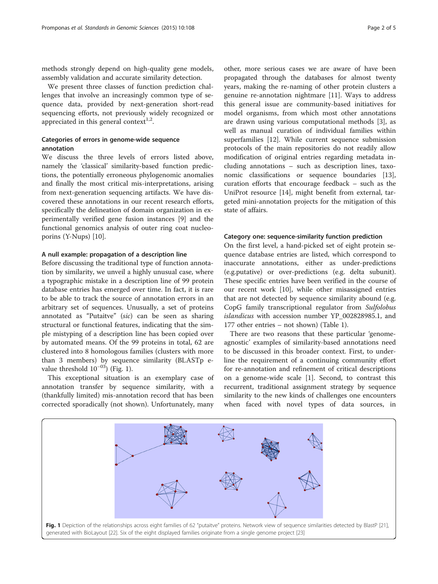methods strongly depend on high-quality gene models, assembly validation and accurate similarity detection.

We present three classes of function prediction challenges that involve an increasingly common type of sequence data, provided by next-generation short-read sequencing efforts, not previously widely recognized or appreciated in this general context<sup>1,2</sup>.

### Categories of errors in genome-wide sequence annotation

We discuss the three levels of errors listed above, namely the 'classical' similarity-based function predictions, the potentially erroneous phylogenomic anomalies and finally the most critical mis-interpretations, arising from next-generation sequencing artifacts. We have discovered these annotations in our recent research efforts, specifically the delineation of domain organization in experimentally verified gene fusion instances [\[9](#page-4-0)] and the functional genomics analysis of outer ring coat nucleoporins (Y-Nups) [[10\]](#page-4-0).

#### A null example: propagation of a description line

Before discussing the traditional type of function annotation by similarity, we unveil a highly unusual case, where a typographic mistake in a description line of 99 protein database entries has emerged over time. In fact, it is rare to be able to track the source of annotation errors in an arbitrary set of sequences. Unusually, a set of proteins annotated as "Putaitve" (sic) can be seen as sharing structural or functional features, indicating that the simple mistyping of a description line has been copied over by automated means. Of the 99 proteins in total, 62 are clustered into 8 homologous families (clusters with more than 3 members) by sequence similarity (BLASTp evalue threshold  $10^{-03}$ ) (Fig. 1).

This exceptional situation is an exemplary case of annotation transfer by sequence similarity, with a (thankfully limited) mis-annotation record that has been corrected sporadically (not shown). Unfortunately, many

other, more serious cases we are aware of have been propagated through the databases for almost twenty years, making the re-naming of other protein clusters a genuine re-annotation nightmare [[11\]](#page-4-0). Ways to address this general issue are community-based initiatives for model organisms, from which most other annotations are drawn using various computational methods [[3\]](#page-4-0), as well as manual curation of individual families within superfamilies [\[12](#page-4-0)]. While current sequence submission protocols of the main repositories do not readily allow modification of original entries regarding metadata including annotations – such as description lines, taxonomic classifications or sequence boundaries [\[13](#page-4-0)], curation efforts that encourage feedback – such as the UniProt resource [[14\]](#page-4-0), might benefit from external, targeted mini-annotation projects for the mitigation of this state of affairs.

#### Category one: sequence-similarity function prediction

On the first level, a hand-picked set of eight protein sequence database entries are listed, which correspond to inaccurate annotations, either as under-predictions (e.g.putative) or over-predictions (e.g. delta subunit). These specific entries have been verified in the course of our recent work [\[10](#page-4-0)], while other misassigned entries that are not detected by sequence similarity abound (e.g. CopG family transcriptional regulator from Sulfolobus islandicus with accession number YP 002828985.1, and 177 other entries – not shown) (Table [1\)](#page-2-0).

There are two reasons that these particular 'genomeagnostic' examples of similarity-based annotations need to be discussed in this broader context. First, to underline the requirement of a continuing community effort for re-annotation and refinement of critical descriptions on a genome-wide scale [[1\]](#page-4-0). Second, to contrast this recurrent, traditional assignment strategy by sequence similarity to the new kinds of challenges one encounters when faced with novel types of data sources, in

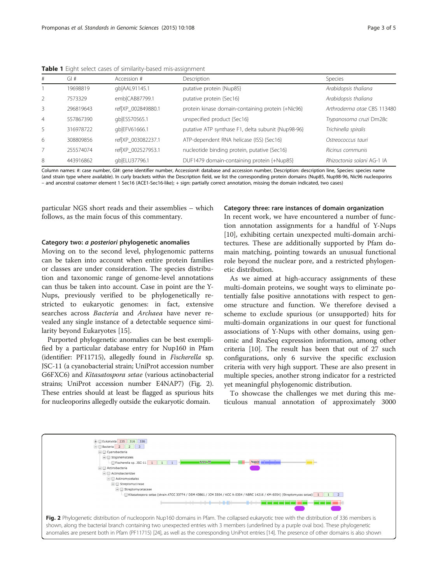| #              | GI#       | Accession #        | Description                                        | <b>Species</b>              |
|----------------|-----------|--------------------|----------------------------------------------------|-----------------------------|
|                | 19698819  | qb AAL91145.1      | putative protein {Nup85}                           | Arabidopsis thaliana        |
| $\mathcal{L}$  | 7573329   | emb CAB87799.1     | putative protein {Sec16}                           | Arabidopsis thaliana        |
| 3              | 296819643 | ref XP 002849880.1 | protein kinase domain-containing protein {+Nic96}  | Arthroderma otae CBS 113480 |
| $\overline{4}$ | 557867390 | qb ESS70565.1      | unspecified product {Sec16}                        | Trypanosoma cruzi Dm28c     |
| 5              | 316978722 | qb EFV61666.1      | putative ATP synthase F1, delta subunit {Nup98-96} | Trichinella spiralis        |
| 6              | 308809856 | ref XP 003082237.1 | ATP-dependent RNA helicase (ISS) {Sec16}           | Ostreococcus tauri          |
| 7              | 255574074 | ref XP 002527953.1 | nucleotide binding protein, putative {Sec16}       | Ricinus communis            |
| 8              | 443916862 | qb ELU37796.1      | DUF1479 domain-containing protein {+Nup85}         | Rhizoctonia solani AG-1 IA  |

<span id="page-2-0"></span>Table 1 Eight select cases of similarity-based mis-assignment

Column names: #: case number, GI#: gene identifier number, Accession#: database and accession number, Description: description line, Species: species name (and strain type where available). In curly brackets within the Description field, we list the corresponding protein domains (Nup85, Nup98-96, Nic96 nucleoporins – and ancestral coatomer element 1 Sec16 (ACE1-Sec16-like); + sign: partially correct annotation, missing the domain indicated, two cases)

particular NGS short reads and their assemblies – which follows, as the main focus of this commentary.

#### Category two: a posteriori phylogenetic anomalies

Moving on to the second level, phylogenomic patterns can be taken into account when entire protein families or classes are under consideration. The species distribution and taxonomic range of genome-level annotations can thus be taken into account. Case in point are the Y-Nups, previously verified to be phylogenetically restricted to eukaryotic genomes: in fact, extensive searches across Bacteria and Archaea have never revealed any single instance of a detectable sequence similarity beyond Eukaryotes [[15\]](#page-4-0).

Purported phylogenetic anomalies can be best exemplified by a particular database entry for Nup160 in Pfam (identifier: PF11715), allegedly found in Fischerella sp. JSC-11 (a cyanobacterial strain; UniProt accession number G6FXC6) and Kitasatospora setae (various actinobacterial strains; UniProt accession number E4NAP7) (Fig. 2). These entries should at least be flagged as spurious hits for nucleoporins allegedly outside the eukaryotic domain.

#### Category three: rare instances of domain organization

In recent work, we have encountered a number of function annotation assignments for a handful of Y-Nups [[10\]](#page-4-0), exhibiting certain unexpected multi-domain architectures. These are additionally supported by Pfam domain matching, pointing towards an unusual functional role beyond the nuclear pore, and a restricted phylogenetic distribution.

As we aimed at high-accuracy assignments of these multi-domain proteins, we sought ways to eliminate potentially false positive annotations with respect to genome structure and function. We therefore devised a scheme to exclude spurious (or unsupported) hits for multi-domain organizations in our quest for functional associations of Y-Nups with other domains, using genomic and RnaSeq expression information, among other criteria [[10](#page-4-0)]. The result has been that out of 27 such configurations, only 6 survive the specific exclusion criteria with very high support. These are also present in multiple species, another strong indicator for a restricted yet meaningful phylogenomic distribution.

To showcase the challenges we met during this meticulous manual annotation of approximately 3000

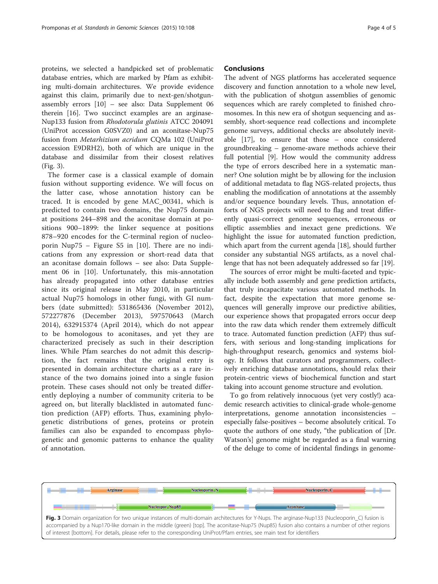proteins, we selected a handpicked set of problematic database entries, which are marked by Pfam as exhibiting multi-domain architectures. We provide evidence against this claim, primarily due to next-gen/shotgunassembly errors [\[10](#page-4-0)] – see also: Data Supplement 06 therein [\[16\]](#page-4-0). Two succinct examples are an arginase-Nup133 fusion from Rhodotorula glutinis ATCC 204091 (UniProt accession G0SVZ0) and an aconitase-Nup75 fusion from Metarhizium acridum CQMa 102 (UniProt accession E9DRH2), both of which are unique in the database and dissimilar from their closest relatives (Fig. 3).

The former case is a classical example of domain fusion without supporting evidence. We will focus on the latter case, whose annotation history can be traced. It is encoded by gene MAC\_00341, which is predicted to contain two domains, the Nup75 domain at positions 244–898 and the aconitase domain at positions 900–1899: the linker sequence at positions 878–920 encodes for the C-terminal region of nucleoporin Nup75 – Figure S5 in [[10\]](#page-4-0). There are no indications from any expression or short-read data that an aconitase domain follows – see also: Data Supplement 06 in [[10\]](#page-4-0). Unfortunately, this mis-annotation has already propagated into other database entries since its original release in May 2010, in particular actual Nup75 homologs in other fungi, with GI numbers (date submitted): 531865436 (November 2012), 572277876 (December 2013), 597570643 (March 2014), 632915374 (April 2014), which do not appear to be homologous to aconitases, and yet they are characterized precisely as such in their description lines. While Pfam searches do not admit this description, the fact remains that the original entry is presented in domain architecture charts as a rare instance of the two domains joined into a single fusion protein. These cases should not only be treated differently deploying a number of community criteria to be agreed on, but literally blacklisted in automated function prediction (AFP) efforts. Thus, examining phylogenetic distributions of genes, proteins or protein families can also be expanded to encompass phylogenetic and genomic patterns to enhance the quality of annotation.

#### Conclusions

The advent of NGS platforms has accelerated sequence discovery and function annotation to a whole new level, with the publication of shotgun assemblies of genomic sequences which are rarely completed to finished chromosomes. In this new era of shotgun sequencing and assembly, short-sequence read collections and incomplete genome surveys, additional checks are absolutely inevitable [\[17](#page-4-0)], to ensure that those – once considered groundbreaking – genome-aware methods achieve their full potential [[9](#page-4-0)]. How would the community address the type of errors described here in a systematic manner? One solution might be by allowing for the inclusion of additional metadata to flag NGS-related projects, thus enabling the modification of annotations at the assembly and/or sequence boundary levels. Thus, annotation efforts of NGS projects will need to flag and treat differently quasi-correct genome sequences, erroneous or elliptic assemblies and inexact gene predictions. We highlight the issue for automated function prediction, which apart from the current agenda [[18\]](#page-4-0), should further consider any substantial NGS artifacts, as a novel challenge that has not been adequately addressed so far [[19\]](#page-4-0).

The sources of error might be multi-faceted and typically include both assembly and gene prediction artifacts, that truly incapacitate various automated methods. In fact, despite the expectation that more genome sequences will generally improve our predictive abilities, our experience shows that propagated errors occur deep into the raw data which render them extremely difficult to trace. Automated function prediction (AFP) thus suffers, with serious and long-standing implications for high-throughput research, genomics and systems biology. It follows that curators and programmers, collectively enriching database annotations, should relax their protein-centric views of biochemical function and start taking into account genome structure and evolution.

To go from relatively innocuous (yet very costly!) academic research activities to clinical-grade whole-genome interpretations, genome annotation inconsistencies – especially false-positives – become absolutely critical. To quote the authors of one study, "the publication of [Dr. Watson's] genome might be regarded as a final warning of the deluge to come of incidental findings in genome-